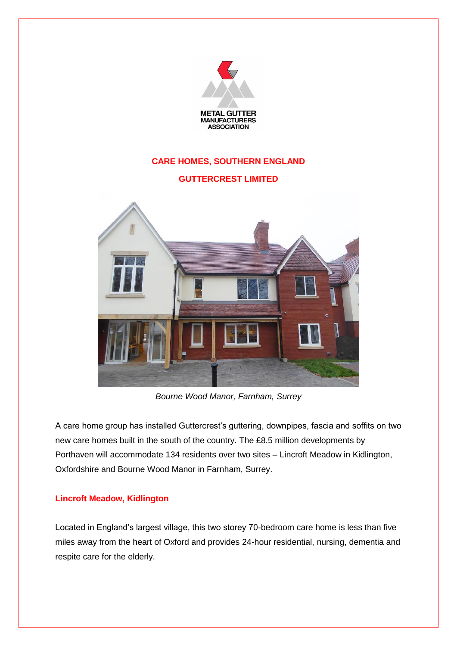

*Bourne Wood Manor, Farnham, Surrey*

A care home group has installed Guttercrest's guttering, downpipes, fascia and soffits on two new care homes built in the south of the country. The £8.5 million developments by Porthaven will accommodate 134 residents over two sites – Lincroft Meadow in Kidlington, Oxfordshire and Bourne Wood Manor in Farnham, Surrey.

## **Lincroft Meadow, Kidlington**

Located in England's largest village, this two storey 70-bedroom care home is less than five miles away from the heart of Oxford and provides 24-hour residential, nursing, dementia and respite care for the elderly.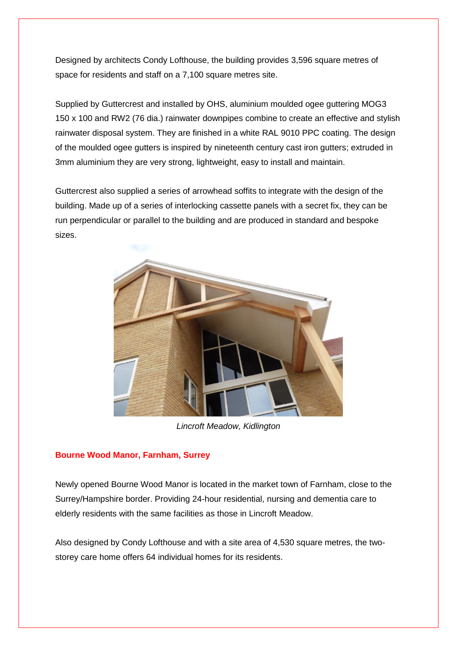Designed by architects Condy Lofthouse, the building provides 3,596 square metres of space for residents and staff on a 7,100 square metres site.

Supplied by Guttercrest and installed by OHS, aluminium moulded ogee guttering MOG3 150 x 100 and RW2 (76 dia.) rainwater downpipes combine to create an effective and stylish rainwater disposal system. They are finished in a white RAL 9010 PPC coating. The design of the moulded ogee gutters is inspired by nineteenth century cast iron gutters; extruded in 3mm aluminium they are very strong, lightweight, easy to install and maintain.

Guttercrest also supplied a series of arrowhead soffits to integrate with the design of the building. Made up of a series of interlocking cassette panels with a secret fix, they can be run perpendicular or parallel to the building and are produced in standard and bespoke sizes.



*Lincroft Meadow, Kidlington*

## **Bourne Wood Manor, Farnham, Surrey**

Newly opened Bourne Wood Manor is located in the market town of Farnham, close to the Surrey/Hampshire border. Providing 24-hour residential, nursing and dementia care to elderly residents with the same facilities as those in Lincroft Meadow.

Also designed by Condy Lofthouse and with a site area of 4,530 square metres, the twostorey care home offers 64 individual homes for its residents.